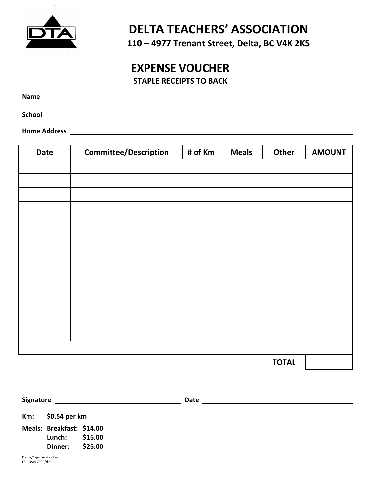

٦

**110 – 4977 Trenant Street, Delta, BC V4K 2K5**

## **EXPENSE VOUCHER**

**STAPLE RECEIPTS TO BACK**

**Name** 

**School** 

**Home Address** 

| <b>Date</b>  | <b>Committee/Description</b> | # of Km | <b>Meals</b> | <b>Other</b> | <b>AMOUNT</b> |
|--------------|------------------------------|---------|--------------|--------------|---------------|
|              |                              |         |              |              |               |
|              |                              |         |              |              |               |
|              |                              |         |              |              |               |
|              |                              |         |              |              |               |
|              |                              |         |              |              |               |
|              |                              |         |              |              |               |
|              |                              |         |              |              |               |
|              |                              |         |              |              |               |
|              |                              |         |              |              |               |
|              |                              |         |              |              |               |
|              |                              |         |              |              |               |
|              |                              |         |              |              |               |
|              |                              |         |              |              |               |
|              |                              |         |              |              |               |
| <b>TOTAL</b> |                              |         |              |              |               |

**Signature CONSIDERENT CONSIDERENT CONSIDERED ASSOCIATES Date** 

**Km: \$0.54 per km** 

**Meals: Breakfast: \$14.00 Lunch: \$16.00 Dinner: \$26.00**